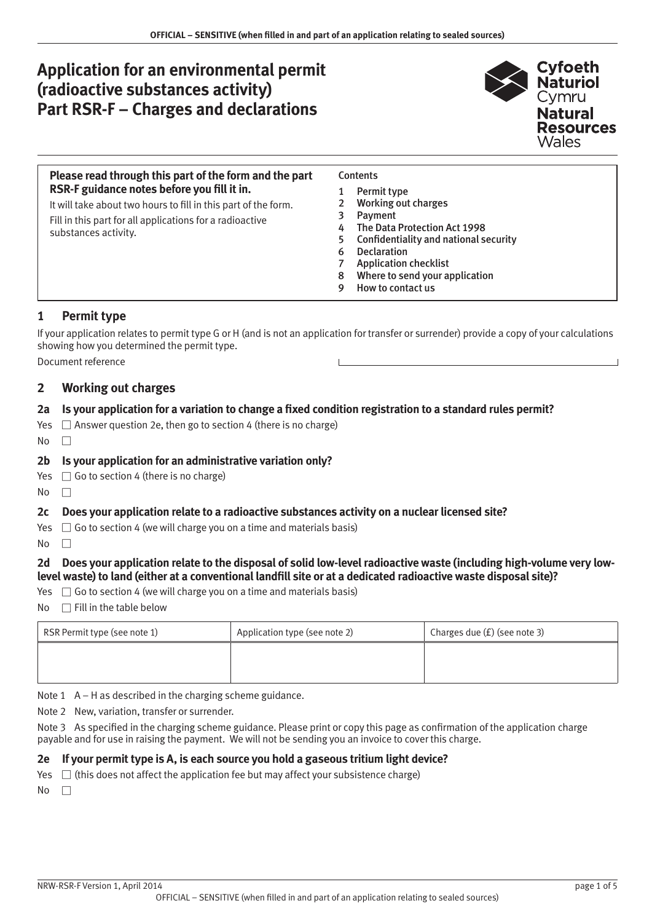# **Application for an environmental permit (radioactive substances activity) Part RSR-F – Charges and declarations**



### **Please read through this part of the form and the part RSR-F guidance notes before you fill it in.**

It will take about two hours to fill in this part of the form. Fill in this part for all applications for a radioactive substances activity.

### **Contents**

- 1 Permit type
- 2 Working out charges
- 3 [Payment](#page-1-0)
- 4 [The Data Protection Act 1998](#page-2-0)
- 5 [Confidentiality and national security](#page-2-0)
- 6 [Declaration](#page-3-0)
- 7 [Application checklist](#page-3-0)
- 8 [Where to send your application](#page-4-0)
- 9 [How to contact us](#page-4-0)

# **1 Permit type**

If your application relates to permit type G or H (and is not an application for transfer or surrender) provide a copy of your calculations showing how you determined the permit type.

Document reference

# **2 Working out charges**

# **2a Is your application for a variation to change a fixed condition registration to a standard rules permit?**

- Yes  $\Box$  Answer question 2e, then go to section 4 (there is no charge)
- $No$   $\Box$

# **2b Is your application for an administrative variation only?**

- Yes  $\Box$  Go to section 4 (there is no charge)
- $No$   $\Box$

# **2c Does your application relate to a radioactive substances activity on a nuclear licensed site?**

- Yes  $\Box$  Go to section 4 (we will charge you on a time and materials basis)
- $No$   $\Box$

# **2d Does your application relate to the disposal of solid low-level radioactive waste (including high-volume very lowlevel waste) to land (either at a conventional landfill site or at a dedicated radioactive waste disposal site)?**

- Yes  $\Box$  Go to section 4 (we will charge you on a time and materials basis)
- $No \square$  Fill in the table below

| RSR Permit type (see note 1) | Application type (see note 2) | Charges due (£) (see note 3) |
|------------------------------|-------------------------------|------------------------------|
|                              |                               |                              |
|                              |                               |                              |

Note  $1$  A – H as described in the charging scheme guidance.

Note 2 New, variation, transfer or surrender.

Note 3 As specified in the charging scheme guidance. Please print or copy this page as confirmation of the application charge payable and for use in raising the payment. We will not be sending you an invoice to cover this charge.

### **2e If your permit type is A, is each source you hold a gaseous tritium light device?**

Yes  $\Box$  (this does not affect the application fee but may affect your subsistence charge)

 $No \Box$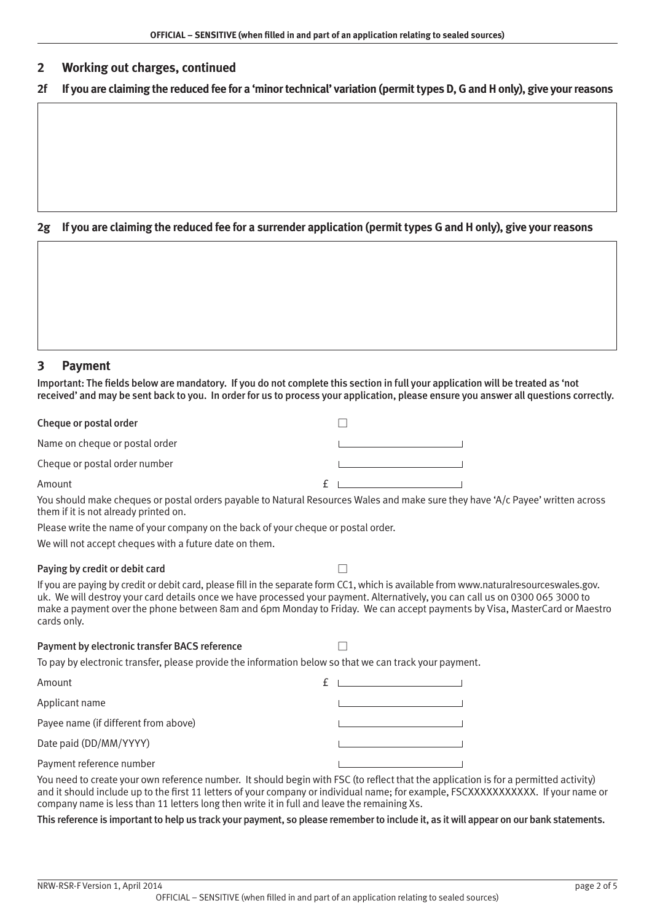### <span id="page-1-0"></span>**2 Working out charges, continued**

| 2f If you are claiming the reduced fee for a 'minor technical' variation (permit types D, G and H only), give your reasons |  |  |
|----------------------------------------------------------------------------------------------------------------------------|--|--|
|                                                                                                                            |  |  |

### **2g If you are claiming the reduced fee for a surrender application (permit types G and H only), give your reasons**

Important: The fields below are mandatory. If you do not complete this section in full your application will be treated as 'not

| received' and may be sent back to you. In order for us to process your application, please ensure you answer all questions correctly. |  |  |  |
|---------------------------------------------------------------------------------------------------------------------------------------|--|--|--|
|                                                                                                                                       |  |  |  |
|                                                                                                                                       |  |  |  |

| Cheque or postal order         |  |
|--------------------------------|--|
| Name on cheque or postal order |  |
| Cheque or postal order number  |  |
| Amount                         |  |

You should make cheques or postal orders payable to Natural Resources Wales and make sure they have 'A/c Payee' written across them if it is not already printed on.

Please write the name of your company on the back of your cheque or postal order.

We will not accept cheques with a future date on them.

#### Paying by credit or debit card Warehouse Theorem and Warehouse Theorem and Warehouse Theorem and Theorem and T

**3 Payment**

If you are paying by credit or debit card, please fill in the separate form CC1, which is available from www.naturalresourceswales.gov. uk. We will destroy your card details once we have processed your payment. Alternatively, you can call us on 0300 065 3000 to make a payment over the phone between 8am and 6pm Monday to Friday. We can accept payments by Visa, MasterCard or Maestro cards only.

| Payment by electronic transfer BACS reference                                                          |  |
|--------------------------------------------------------------------------------------------------------|--|
| To pay by electronic transfer, please provide the information below so that we can track your payment. |  |

| Amount                               |  |
|--------------------------------------|--|
| Applicant name                       |  |
| Payee name (if different from above) |  |
| Date paid (DD/MM/YYYY)               |  |
| Payment reference number             |  |

You need to create your own reference number. It should begin with FSC (to reflect that the application is for a permitted activity) and it should include up to the first 11 letters of your company or individual name; for example, FSCXXXXXXXXXXX. If your name or company name is less than 11 letters long then write it in full and leave the remaining Xs.

#### This reference is important to help us track your payment, so please remember to include it, as it will appear on our bank statements.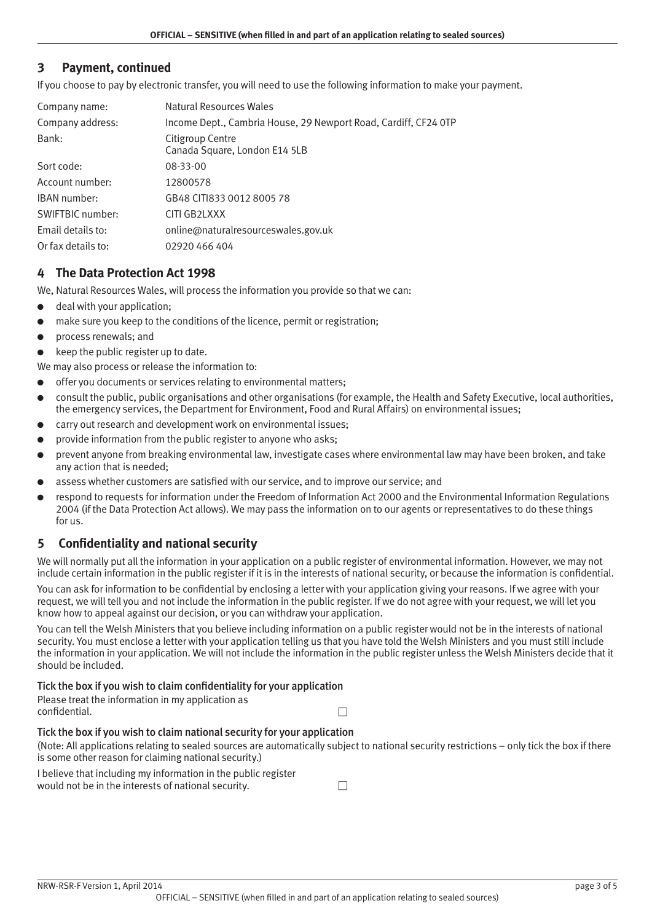# <span id="page-2-0"></span>**3 Payment, continued**

If you choose to pay by electronic transfer, you will need to use the following information to make your payment.

| Company name:      | Natural Resources Wales                                         |
|--------------------|-----------------------------------------------------------------|
| Company address:   | Income Dept., Cambria House, 29 Newport Road, Cardiff, CF24 OTP |
| Bank:              | Citigroup Centre<br>Canada Square, London E14 5LB               |
| Sort code:         | 08-33-00                                                        |
| Account number:    | 12800578                                                        |
| IBAN number:       | GB48 CITI833 0012 8005 78                                       |
| SWIFTBIC number:   | CITI GB2LXXX                                                    |
| Email details to:  | online@naturalresourceswales.gov.uk                             |
| Or fax details to: | 02920 466 404                                                   |

# **4 The Data Protection Act 1998**

We, Natural Resources Wales, will process the information you provide so that we can:

- deal with your application;
- make sure you keep to the conditions of the licence, permit or registration;
- process renewals; and
- keep the public register up to date.

We may also process or release the information to:

- offer you documents or services relating to environmental matters;
- consult the public, public organisations and other organisations (for example, the Health and Safety Executive, local authorities, the emergency services, the Department for Environment, Food and Rural Affairs) on environmental issues;
- carry out research and development work on environmental issues;
- provide information from the public register to anyone who asks:
- prevent anyone from breaking environmental law, investigate cases where environmental law may have been broken, and take any action that is needed;
- assess whether customers are satisfied with our service, and to improve our service; and
- respond to requests for information under the Freedom of Information Act 2000 and the Environmental Information Regulations 2004 (if the Data Protection Act allows). We may pass the information on to our agents or representatives to do these things for us.

# **5 Confidentiality and national security**

We will normally put all the information in your application on a public register of environmental information. However, we may not include certain information in the public register if it is in the interests of national security, or because the information is confidential.

You can ask for information to be confidential by enclosing a letter with your application giving your reasons. If we agree with your request, we will tell you and not include the information in the public register. If we do not agree with your request, we will let you know how to appeal against our decision, or you can withdraw your application.

You can tell the Welsh Ministers that you believe including information on a public register would not be in the interests of national security. You must enclose a letter with your application telling us that you have told the Welsh Ministers and you must still include the information in your application. We will not include the information in the public register unless the Welsh Ministers decide that it should be included.

#### Tick the box if you wish to claim confidentiality for your application

Please treat the information in my application as confidential.

# Tick the box if you wish to claim national security for your application

(Note: All applications relating to sealed sources are automatically subject to national security restrictions – only tick the box if there is some other reason for claiming national security.)

| I believe that including my information in the public register |  |
|----------------------------------------------------------------|--|
| would not be in the interests of national security.            |  |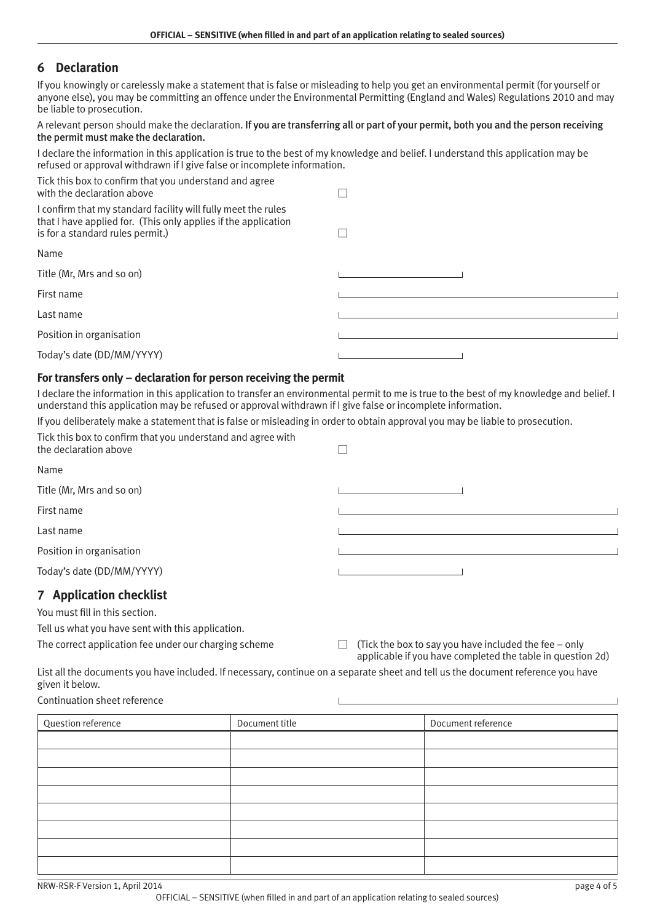# <span id="page-3-0"></span>**6 Declaration**

If you knowingly or carelessly make a statement that is false or misleading to help you get an environmental permit (for yourself or anyone else), you may be committing an offence under the Environmental Permitting (England and Wales) Regulations 2010 and may be liable to prosecution.

A relevant person should make the declaration. If you are transferring all or part of your permit, both you and the person receiving the permit must make the declaration.

I declare the information in this application is true to the best of my knowledge and belief. I understand this application may be refused or approval withdrawn if I give false or incomplete information.

| Tick this box to confirm that you understand and agree<br>with the declaration above                                                                                |  |
|---------------------------------------------------------------------------------------------------------------------------------------------------------------------|--|
| I confirm that my standard facility will fully meet the rules<br>that I have applied for. (This only applies if the application<br>is for a standard rules permit.) |  |
| Name                                                                                                                                                                |  |
| Title (Mr, Mrs and so on)                                                                                                                                           |  |
| First name                                                                                                                                                          |  |
| Last name                                                                                                                                                           |  |
| Position in organisation                                                                                                                                            |  |
| Today's date (DD/MM/YYYY)                                                                                                                                           |  |

# **For transfers only – declaration for person receiving the permit**

I declare the information in this application to transfer an environmental permit to me is true to the best of my knowledge and belief. I understand this application may be refused or approval withdrawn if I give false or incomplete information.

If you deliberately make a statement that is false or misleading in order to obtain approval you may be liable to prosecution.

| Tick this box to confirm that you understand and agree with<br>the declaration above |  |
|--------------------------------------------------------------------------------------|--|
| Name                                                                                 |  |
| Title (Mr, Mrs and so on)                                                            |  |
| First name                                                                           |  |
| Last name                                                                            |  |
| Position in organisation                                                             |  |
| Today's date (DD/MM/YYYY)                                                            |  |
| 7. Anniisation abosiist                                                              |  |

# **7 Application checklist**

You must fill in this section.

Tell us what you have sent with this application.

The correct application fee under our charging scheme  $\Box$  (Tick the box to say you have included the fee – only applicable if you have completed the table in question 2d)

List all the documents you have included. If necessary, continue on a separate sheet and tell us the document reference you have given it below.

Continuation sheet reference

| Question reference | Document title | Document reference |
|--------------------|----------------|--------------------|
|                    |                |                    |
|                    |                |                    |
|                    |                |                    |
|                    |                |                    |
|                    |                |                    |
|                    |                |                    |
|                    |                |                    |
|                    |                |                    |